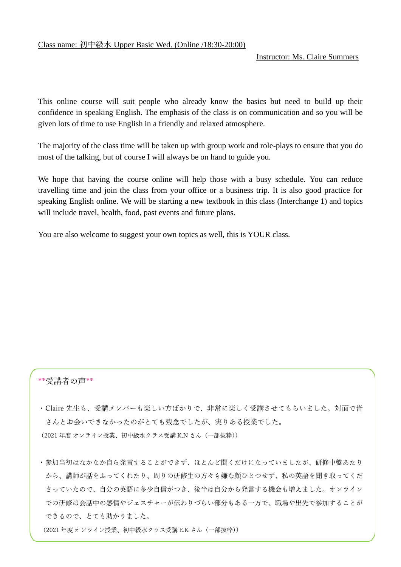## Instructor: Ms. Claire Summers

This online course will suit people who already know the basics but need to build up their confidence in speaking English. The emphasis of the class is on communication and so you will be given lots of time to use English in a friendly and relaxed atmosphere.

The majority of the class time will be taken up with group work and role-plays to ensure that you do most of the talking, but of course I will always be on hand to guide you.

We hope that having the course online will help those with a busy schedule. You can reduce travelling time and join the class from your office or a business trip. It is also good practice for speaking English online. We will be starting a new textbook in this class (Interchange 1) and topics will include travel, health, food, past events and future plans.

You are also welcome to suggest your own topics as well, this is YOUR class.

## \*\*受講者の声\*\*

・Claire 先生も、受講メンバーも楽しい方ばかりで、非常に楽しく受講させてもらいました。対面で皆 さんとお会いできなかったのがとても残念でしたが、実りある授業でした。 (2021 年度 オンライン授業、初中級水クラス受講 K.N さん(一部抜粋))

・参加当初はなかなか自ら発言することができず、ほとんど聞くだけになっていましたが、研修中盤あたり から、講師が話をふってくれたり、周りの研修生の方々も嫌な顔ひとつせず、私の英語を聞き取ってくだ さっていたので、自分の英語に多少自信がつき、後半は自分から発言する機会も増えました。オンライン での研修は会話中の感情やジェスチャーが伝わりづらい部分もある一方で、職場や出先で参加することが できるので、とても助かりました。

(2021 年度 オンライン授業、初中級水クラス受講 E.K さん(一部抜粋))